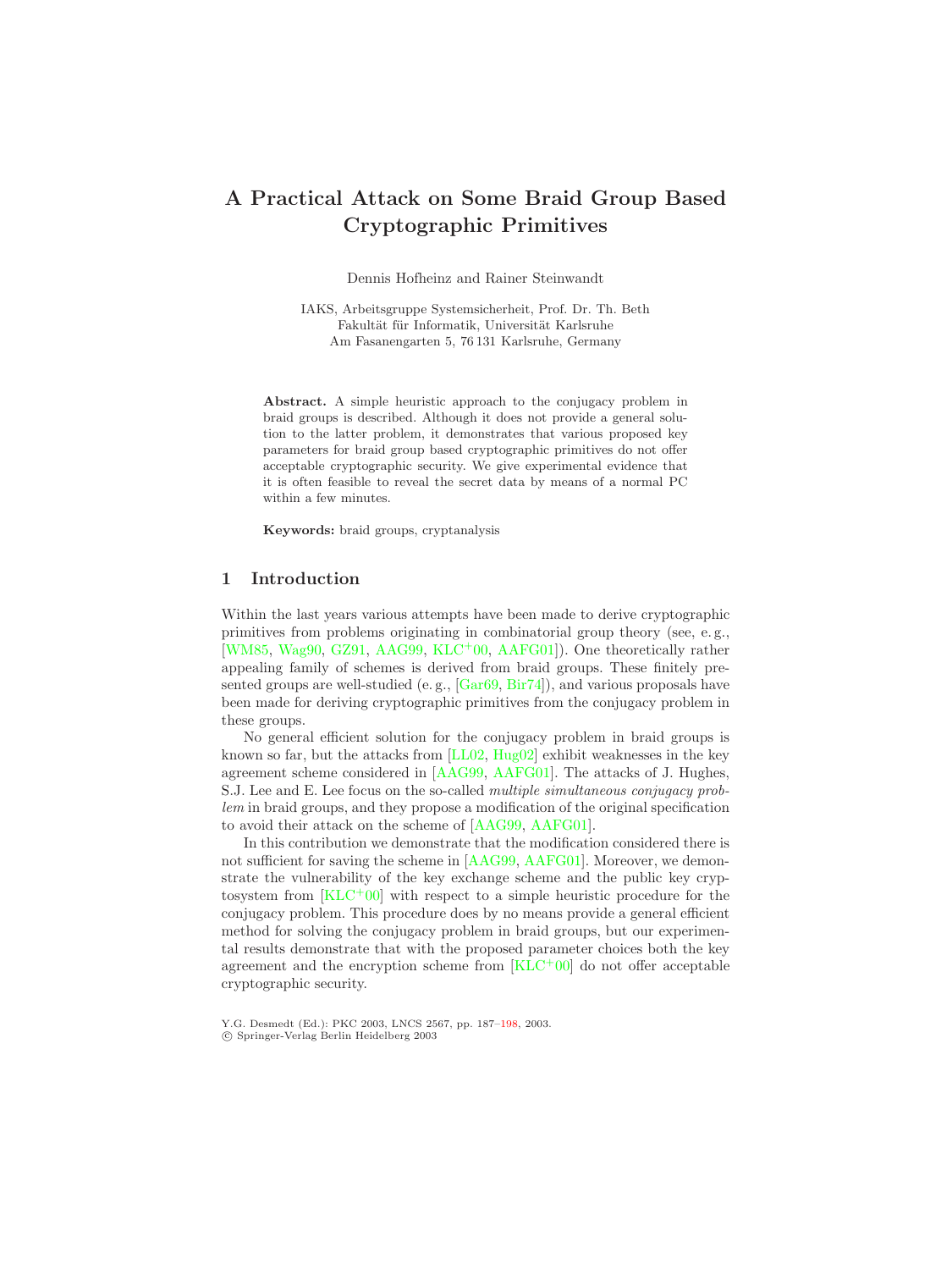# <span id="page-0-0"></span>**A Practical Attack on Some Braid Group Based Cryptographic Primitives**

Dennis Hofheinz and Rainer Steinwandt

IAKS, Arbeitsgruppe Systemsicherheit, Prof. Dr. Th. Beth Fakultät für Informatik, Universität Karlsruhe Am Fasanengarten 5, 76 131 Karlsruhe, Germany

**Abstract.** A simple heuristic approach to the conjugacy problem in braid groups is described. Although it does not provide a general solution to the latter problem, it demonstrates that various proposed key parameters for braid group based cryptographic primitives do not offer acceptable cryptographic security. We give experimental evidence that it is often feasible to reveal the secret data by means of a normal PC within a few minutes.

**Keywords:** braid groups, cryptanalysis

## **1 Introduction**

Within the last years various attempts have been made to derive cryptographic primitives from problems originating in combinatorial group theory (see, e. g., [\[WM85,](#page-11-0) [Wag90,](#page-11-1) [GZ91,](#page-10-0) [AAG99,](#page-10-1) [KLC](#page-10-2)<sup>+</sup>00, [AAFG01\]](#page-10-3)). One theoretically rather appealing family of schemes is derived from braid groups. These finitely presented groups are well-studied (e.g.,  $[Gar69, Bir74]$  $[Gar69, Bir74]$  $[Gar69, Bir74]$ ), and various proposals have been made for deriving cryptographic primitives from the conjugacy problem in these groups.

No general efficient solution for the conjugacy problem in braid groups is known so far, but the attacks from [\[LL02,](#page-11-2) [Hug02\]](#page-10-6) exhibit weaknesses in the key agreement scheme considered in [\[AAG99,](#page-10-1) [AAFG01\]](#page-10-3). The attacks of J. Hughes, S.J. Lee and E. Lee focus on the so-called *multiple simultaneous conjugacy problem* in braid groups, and they propose a modification of the original specification to avoid their attack on the scheme of [\[AAG99,](#page-10-1) [AAFG01\]](#page-10-3).

In this contribution we demonstrate that the modification considered there is not sufficient for saving the scheme in [\[AAG99,](#page-10-1) [AAFG01\]](#page-10-3). Moreover, we demonstrate the vulnerability of the key exchange scheme and the public key cryptosystem from  $KLC^+00$  with respect to a simple heuristic procedure for the conjugacy problem. This procedure does by no means provide a general efficient method for solving the conjugacy problem in braid groups, but our experimental results demonstrate that with the proposed parameter choices both the key agreement and the encryption scheme from [\[KLC](#page-10-2)<sup>+</sup>00] do not offer acceptable cryptographic security.

Y.G. Desmedt (Ed.): PKC 2003, LNCS 2567, pp. 187[–198,](#page-11-3) 2003. c Springer-Verlag Berlin Heidelberg 2003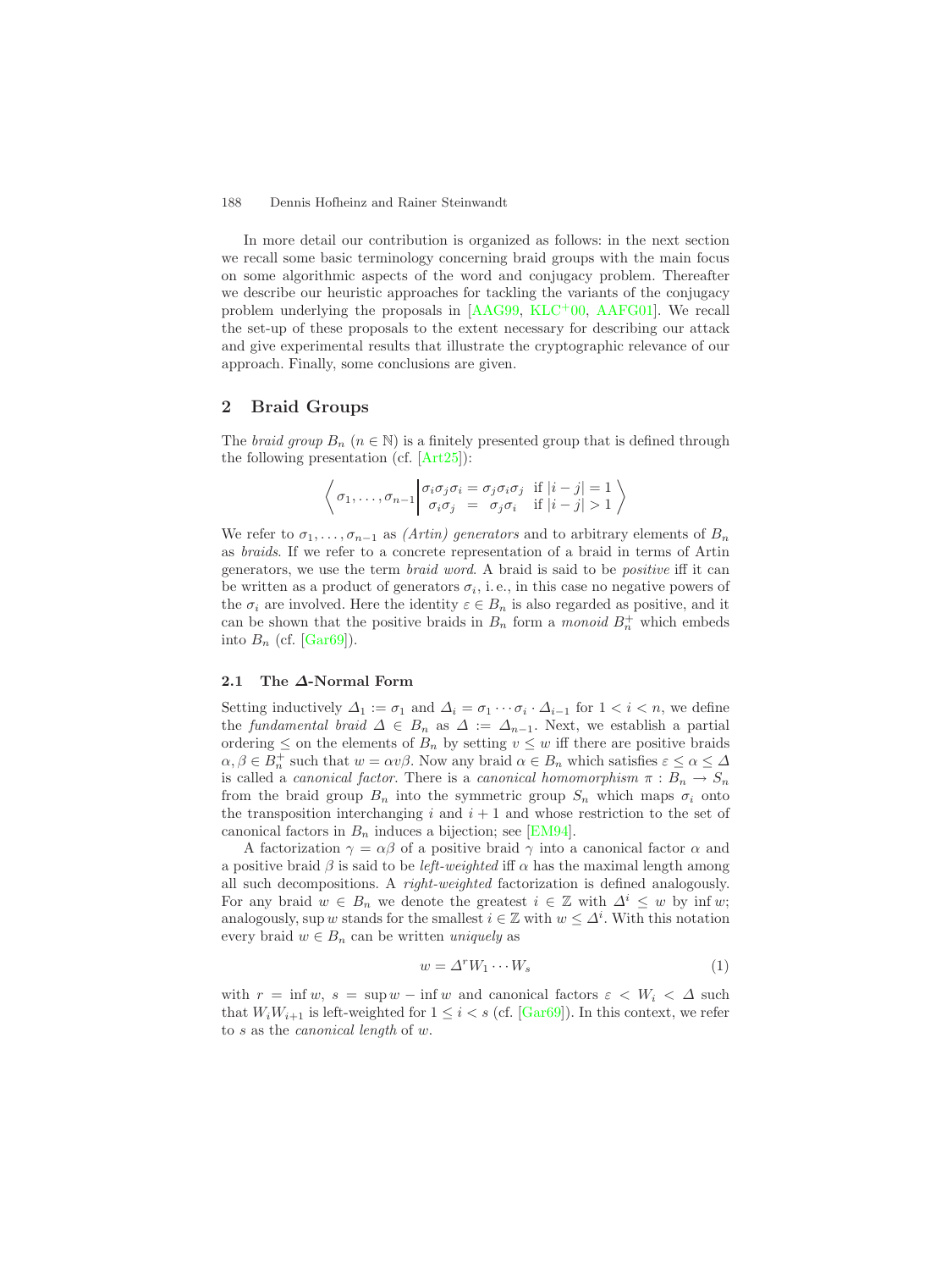#### <span id="page-1-1"></span>188 Dennis Hofheinz and Rainer Steinwandt

In more detail our contribution is organized as follows: in the next section we recall some basic terminology concerning braid groups with the main focus on some algorithmic aspects of the word and conjugacy problem. Thereafter we describe our heuristic approaches for tackling the variants of the conjugacy problem underlying the proposals in [\[AAG99,](#page-10-1) [KLC](#page-10-2)+00, [AAFG01\]](#page-10-3). We recall the set-up of these proposals to the extent necessary for describing our attack and give experimental results that illustrate the cryptographic relevance of our approach. Finally, some conclusions are given.

# **2 Braid Groups**

The *braid group*  $B_n$  ( $n \in \mathbb{N}$ ) is a finitely presented group that is defined through the following presentation (cf. [\[Art25\]](#page-10-7)):

$$
\left\langle \sigma_1, \ldots, \sigma_{n-1} \middle| \begin{array}{l} \sigma_i \sigma_j \sigma_i = \sigma_j \sigma_i \sigma_j \quad \text{if } |i - j| = 1 \\ \sigma_i \sigma_j = \sigma_j \sigma_i \quad \text{if } |i - j| > 1 \end{array} \right\rangle
$$

We refer to  $\sigma_1, \ldots, \sigma_{n-1}$  as *(Artin) generators* and to arbitrary elements of  $B_n$ as *braids*. If we refer to a concrete representation of a braid in terms of Artin generators, we use the term *braid word*. A braid is said to be *positive* iff it can be written as a product of generators  $\sigma_i$ , i.e., in this case no negative powers of the  $\sigma_i$  are involved. Here the identity  $\varepsilon \in B_n$  is also regarded as positive, and it can be shown that the positive braids in  $B_n$  form a *monoid*  $B_n^+$  which embeds into  $B_n$  (cf. [\[Gar69\]](#page-10-4)).

### **2.1 The** *∆***-Normal Form**

Setting inductively  $\Delta_1 := \sigma_1$  and  $\Delta_i = \sigma_1 \cdots \sigma_i \cdot \Delta_{i-1}$  for  $1 < i < n$ , we define the *fundamental braid*  $\Delta \in B_n$  as  $\Delta := \Delta_{n-1}$ . Next, we establish a partial ordering  $\leq$  on the elements of  $B_n$  by setting  $v \leq w$  iff there are positive braids  $\alpha, \beta \in B_n^+$  such that  $w = \alpha v \beta$ . Now any braid  $\alpha \in B_n$  which satisfies  $\varepsilon \leq \alpha \leq \Delta$ is called a *canonical factor*. There is a *canonical homomorphism*  $\pi : B_n \to S_n$ from the braid group  $B_n$  into the symmetric group  $S_n$  which maps  $\sigma_i$  onto the transposition interchanging  $i$  and  $i + 1$  and whose restriction to the set of canonical factors in  $B_n$  induces a bijection; see [\[EM94\]](#page-10-8).

<span id="page-1-0"></span>A factorization  $\gamma = \alpha \beta$  of a positive braid  $\gamma$  into a canonical factor  $\alpha$  and a positive braid  $\beta$  is said to be *left-weighted* iff  $\alpha$  has the maximal length among all such decompositions. A *right-weighted* factorization is defined analogously. For any braid  $w \in B_n$  we denote the greatest  $i \in \mathbb{Z}$  with  $\Delta^i \leq w$  by inf w; analogously, sup w stands for the smallest  $i \in \mathbb{Z}$  with  $w \leq \Delta^i$ . With this notation every braid  $w \in B_n$  can be written *uniquely* as

$$
w = \Delta^r W_1 \cdots W_s \tag{1}
$$

with  $r = \inf w$ ,  $s = \sup w - \inf w$  and canonical factors  $\varepsilon < W_i < \Delta$  such that  $W_iW_{i+1}$  is left-weighted for  $1 \leq i < s$  (cf. [\[Gar69\]](#page-10-4)). In this context, we refer to s as the *canonical length* of w.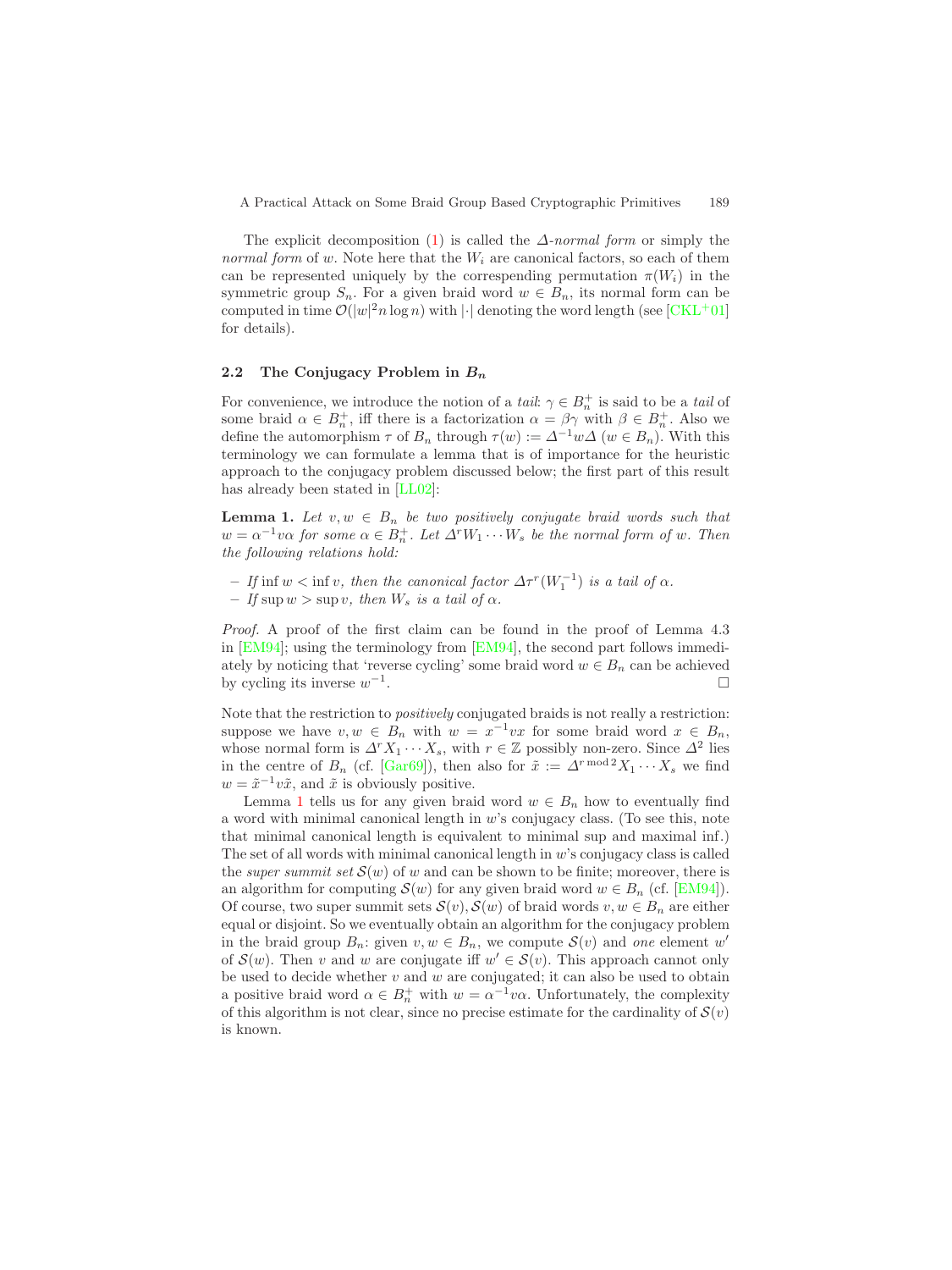<span id="page-2-1"></span>The explicit decomposition [\(1\)](#page-1-0) is called the ∆*-normal form* or simply the *normal form* of w. Note here that the  $W_i$  are canonical factors, so each of them can be represented uniquely by the correspending permutation  $\pi(W_i)$  in the symmetric group  $S_n$ . For a given braid word  $w \in B_n$ , its normal form can be computed in time  $\mathcal{O}(|w|^2 n \log n)$  with  $|\cdot|$  denoting the word length (see  $\text{[CKL+01]}$  $\text{[CKL+01]}$  $\text{[CKL+01]}$ ) for details).

#### **2.2 The Conjugacy Problem in** *B<sup>n</sup>*

<span id="page-2-0"></span>For convenience, we introduce the notion of a *tail*:  $\gamma \in B_n^+$  is said to be a *tail* of some braid  $\alpha \in B_n^+$ , iff there is a factorization  $\alpha = \beta \gamma$  with  $\beta \in B_n^+$ . Also we define the automorphism  $\tau$  of  $B_n$  through  $\tau(w) := \Delta^{-1}w\Delta$   $(w \in B_n)$ . With this terminology we can formulate a lemma that is of importance for the heuristic approach to the conjugacy problem discussed below; the first part of this result has already been stated in [\[LL02\]](#page-11-2):

**Lemma 1.** Let  $v, w \in B_n$  be two positively conjugate braid words such that  $w = \alpha^{-1}v\alpha$  for some  $\alpha \in B_n^+$ . Let  $\Delta^rW_1 \cdots W_s$  be the normal form of w. Then *the following relations hold:*

- $-$  *If* inf  $w < \inf v$ , then the canonical factor  $\Delta \tau^r(W_1^{-1})$  is a tail of  $\alpha$ .
- $-$  *If* sup  $w > \sup v$ , then  $W_s$  *is a tail of*  $\alpha$ *.*

*Proof.* A proof of the first claim can be found in the proof of Lemma 4.3 in [\[EM94\]](#page-10-8); using the terminology from [\[EM94\]](#page-10-8), the second part follows immediately by noticing that 'reverse cycling' some braid word  $w \in B_n$  can be achieved by cycling its inverse  $w^{-1}$ .

Note that the restriction to *positively* conjugated braids is not really a restriction: suppose we have  $v, w \in B_n$  with  $w = x^{-1}vx$  for some braid word  $x \in B_n$ , whose normal form is  $\Delta^r X_1 \cdots X_s$ , with  $r \in \mathbb{Z}$  possibly non-zero. Since  $\Delta^2$  lies in the centre of  $B_n$  (cf. [\[Gar69\]](#page-10-4)), then also for  $\tilde{x} := \Delta^{r \mod 2} X_1 \cdots X_s$  we find  $w = \tilde{x}^{-1}v\tilde{x}$ , and  $\tilde{x}$  is obviously positive.

Lemma [1](#page-2-0) tells us for any given braid word  $w \in B_n$  how to eventually find a word with minimal canonical length in  $w$ 's conjugacy class. (To see this, note that minimal canonical length is equivalent to minimal sup and maximal inf.) The set of all words with minimal canonical length in  $w$ 's conjugacy class is called the *super summit set*  $S(w)$  of w and can be shown to be finite; moreover, there is an algorithm for computing  $\mathcal{S}(w)$  for any given braid word  $w \in B_n$  (cf. [\[EM94\]](#page-10-8)). Of course, two super summit sets  $\mathcal{S}(v)$ ,  $\mathcal{S}(w)$  of braid words  $v, w \in B_n$  are either equal or disjoint. So we eventually obtain an algorithm for the conjugacy problem in the braid group  $B_n$ : given  $v, w \in B_n$ , we compute  $\mathcal{S}(v)$  and *one* element w' of  $S(w)$ . Then v and w are conjugate iff  $w' \in S(v)$ . This approach cannot only be used to decide whether  $v$  and  $w$  are conjugated; it can also be used to obtain a positive braid word  $\alpha \in B_n^+$  with  $w = \alpha^{-1}v\alpha$ . Unfortunately, the complexity of this algorithm is not clear, since no precise estimate for the cardinality of  $\mathcal{S}(v)$ is known.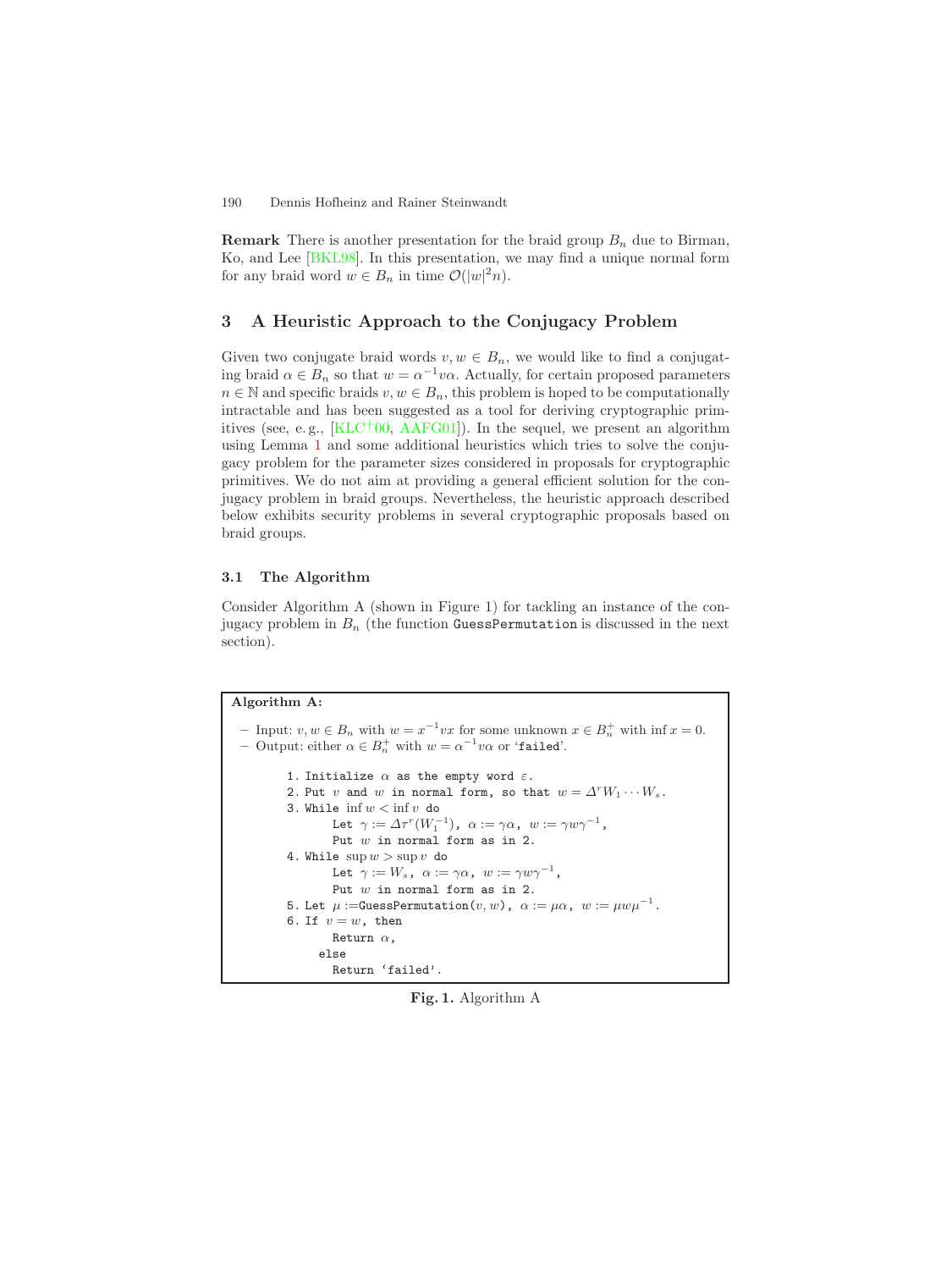<span id="page-3-0"></span>**Remark** There is another presentation for the braid group  $B_n$  due to Birman, Ko, and Lee [\[BKL98\]](#page-10-10). In this presentation, we may find a unique normal form for any braid word  $w \in B_n$  in time  $\mathcal{O}(|w|^2 n)$ .

### **3 A Heuristic Approach to the Conjugacy Problem**

Given two conjugate braid words  $v, w \in B_n$ , we would like to find a conjugating braid  $\alpha \in B_n$  so that  $w = \alpha^{-1}v\alpha$ . Actually, for certain proposed parameters  $n \in \mathbb{N}$  and specific braids  $v, w \in B_n$ , this problem is hoped to be computationally intractable and has been suggested as a tool for deriving cryptographic primitives (see, e.g.,  $[KLC^+00, AAFG01]$  $[KLC^+00, AAFG01]$  $[KLC^+00, AAFG01]$ ). In the sequel, we present an algorithm using Lemma [1](#page-2-0) and some additional heuristics which tries to solve the conjugacy problem for the parameter sizes considered in proposals for cryptographic primitives. We do not aim at providing a general efficient solution for the conjugacy problem in braid groups. Nevertheless, the heuristic approach described below exhibits security problems in several cryptographic proposals based on braid groups.

### **3.1 The Algorithm**

Consider Algorithm A (shown in Figure 1) for tackling an instance of the conjugacy problem in  $B_n$  (the function GuessPermutation is discussed in the next section).

### **Algorithm A:**

```
– Input: v, w \in B_n with w = x^{-1}vx for some unknown x \in B_n^+ with \inf x = 0.
– Output: either \alpha \in B_n^+ with w = \alpha^{-1}v\alpha or 'failed'.
        1. Initialize \alpha as the empty word \varepsilon.
        2. Put v and w in normal form, so that w = \Delta^r W_1 \cdots W_s.
        3. While \inf w < \inf v do
                  Let \gamma := \Delta \tau^r(W_1^{-1}), \alpha := \gamma \alpha, w := \gamma w \gamma^{-1},Put w in normal form as in 2.
        4. While \sup w > \sup vdo
                  Let \gamma := W_s, \alpha := \gamma \alpha, w := \gamma w \gamma^{-1},
                  Put w in normal form as in 2.
        5. Let \mu := \text{Gaussian}(v, w), \alpha := \mu \alpha, w := \mu w \mu^{-1}.
        6. If v = w, then
                 Return \alpha,
               else
                  Return 'failed'.
```
**Fig. 1.** Algorithm A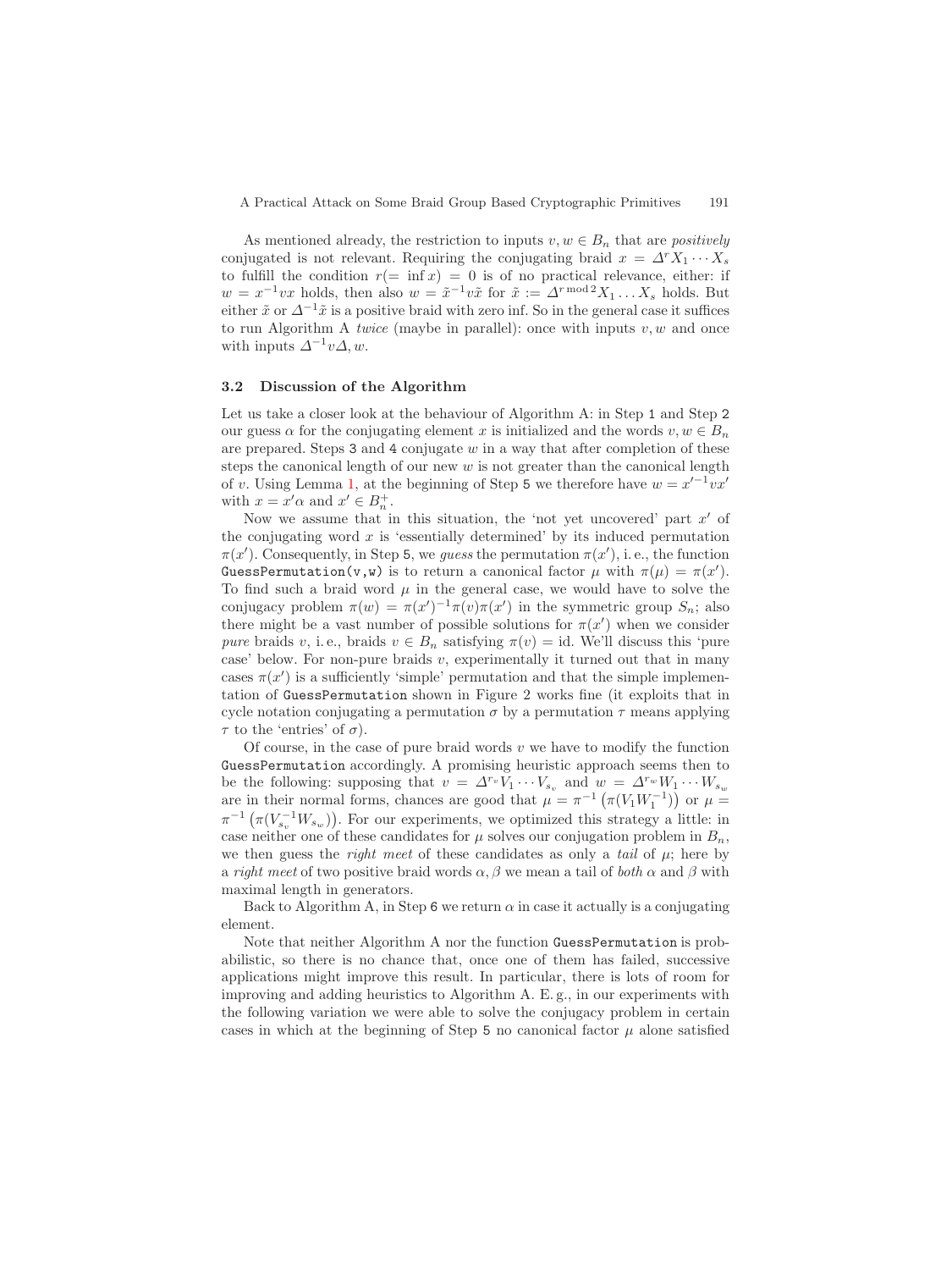As mentioned already, the restriction to inputs  $v, w \in B_n$  that are *positively* conjugated is not relevant. Requiring the conjugating braid  $x = \Delta^r X_1 \cdots X_s$ to fulfill the condition  $r(=\inf x) = 0$  is of no practical relevance, either: if  $w = x^{-1}vx$  holds, then also  $w = \tilde{x}^{-1}v\tilde{x}$  for  $\tilde{x} := \Delta^{r \mod 2}X_1 \dots X_s$  holds. But either  $\tilde{x}$  or  $\Delta^{-1}\tilde{x}$  is a positive braid with zero inf. So in the general case it suffices to run Algorithm A *twice* (maybe in parallel): once with inputs  $v, w$  and once with inputs  $\Delta^{-1}v\Delta$ , w.

### <span id="page-4-0"></span>**3.2 Discussion of the Algorithm**

Let us take a closer look at the behaviour of Algorithm A: in Step 1 and Step 2 our guess  $\alpha$  for the conjugating element x is initialized and the words  $v, w \in B_n$ are prepared. Steps  $3$  and  $4$  conjugate w in a way that after completion of these steps the canonical length of our new  $w$  is not greater than the canonical length of v. Using Lemma [1,](#page-2-0) at the beginning of Step 5 we therefore have  $w = x'^{-1}vx'$ with  $x = x' \alpha$  and  $x' \in B_n^+$ .

Now we assume that in this situation, the 'not yet uncovered' part  $x'$  of the conjugating word  $x$  is 'essentially determined' by its induced permutation  $\pi(x')$ . Consequently, in Step 5, we *guess* the permutation  $\pi(x')$ , i.e., the function GuessPermutation(v,w) is to return a canonical factor  $\mu$  with  $\pi(\mu) = \pi(x')$ . To find such a braid word  $\mu$  in the general case, we would have to solve the conjugacy problem  $\pi(w) = \pi(x')^{-1}\pi(v)\pi(x')$  in the symmetric group  $S_n$ ; also there might be a vast number of possible solutions for  $\pi(x')$  when we consider *pure* braids v, i.e., braids  $v \in B_n$  satisfying  $\pi(v) = id$ . We'll discuss this 'pure case' below. For non-pure braids  $v$ , experimentally it turned out that in many cases  $\pi(x')$  is a sufficiently 'simple' permutation and that the simple implementation of GuessPermutation shown in Figure 2 works fine (it exploits that in cycle notation conjugating a permutation  $\sigma$  by a permutation  $\tau$  means applying  $\tau$  to the 'entries' of  $\sigma$ ).

Of course, in the case of pure braid words  $v$  we have to modify the function GuessPermutation accordingly. A promising heuristic approach seems then to be the following: supposing that  $v = \Delta^{r_v} V_1 \cdots V_{s_v}$  and  $w = \Delta^{r_w} W_1 \cdots W_{s_w}$ are in their normal forms, chances are good that  $\mu = \pi^{-1} \left( \pi(V_1 W_1^{-1}) \right)$  or  $\mu =$  $\pi^{-1}(\pi(V_{s_v}^{-1}W_{s_w}))$ . For our experiments, we optimized this strategy a little: in case neither one of these candidates for  $\mu$  solves our conjugation problem in  $B_n$ , we then guess the *right meet* of these candidates as only a *tail* of  $\mu$ ; here by a *right meet* of two positive braid words  $\alpha$ ,  $\beta$  we mean a tail of *both*  $\alpha$  and  $\beta$  with maximal length in generators.

Back to Algorithm A, in Step 6 we return  $\alpha$  in case it actually is a conjugating element.

Note that neither Algorithm A nor the function GuessPermutation is probabilistic, so there is no chance that, once one of them has failed, successive applications might improve this result. In particular, there is lots of room for improving and adding heuristics to Algorithm A. E. g., in our experiments with the following variation we were able to solve the conjugacy problem in certain cases in which at the beginning of Step 5 no canonical factor  $\mu$  alone satisfied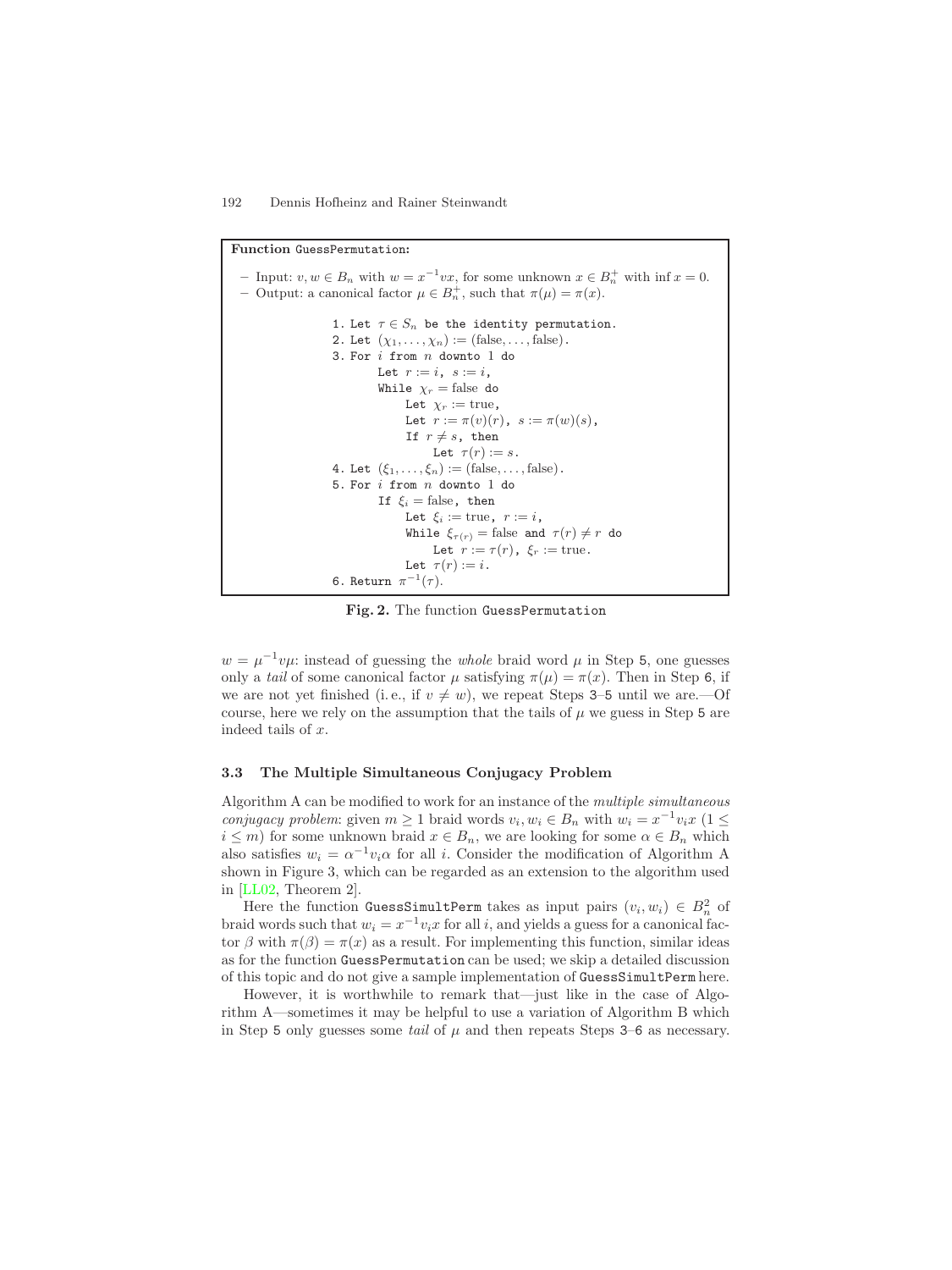<span id="page-5-1"></span>**Function** GuessPermutation**:** *–* Input:  $v, w \in B_n$  with  $w = x^{-1}vx$ , for some unknown  $x \in B_n^+$  with  $\inf x = 0$ . **–** Output: a canonical factor  $\mu \in B_n^+$ , such that  $\pi(\mu) = \pi(x)$ . 1. Let  $\tau \in S_n$  be the identity permutation. 2. Let  $(\chi_1,\ldots,\chi_n):=(\text{false},\ldots,\text{false})$ . 3. For i from n downto 1 do Let  $r := i$ ,  $s := i$ , While  $\chi_r = \text{false}$  do Let  $\chi_r := \text{true}$ , Let  $r := \pi(v)(r)$ ,  $s := \pi(w)(s)$ , If  $r \neq s$ , then Let  $\tau(r) := s$ . 4. Let  $(\xi_1,\ldots,\xi_n) := (\text{false},\ldots,\text{false}).$ 5. For i from n downto 1 do If  $\xi_i$  = false, then Let  $\xi_i := \text{true}, r := i$ , While  $\xi_{\tau(r)} = \text{false}$  and  $\tau(r) \neq r$  do Let  $r := \tau(r)$ ,  $\xi_r := \text{true}$ . Let  $\tau(r) := i$ . 6. Return  $\pi^{-1}(\tau)$ .

**Fig. 2.** The function GuessPermutation

<span id="page-5-0"></span> $w = \mu^{-1}v\mu$ : instead of guessing the *whole* braid word  $\mu$  in Step 5, one guesses only a *tail* of some canonical factor  $\mu$  satisfying  $\pi(\mu) = \pi(x)$ . Then in Step 6, if we are not yet finished (i.e., if  $v \neq w$ ), we repeat Steps 3–5 until we are.—Of course, here we rely on the assumption that the tails of  $\mu$  we guess in Step 5 are indeed tails of x.

# **3.3 The Multiple Simultaneous Conjugacy Problem**

Algorithm A can be modified to work for an instance of the *multiple simultaneous conjugacy problem*: given  $m \geq 1$  braid words  $v_i, w_i \in B_n$  with  $w_i = x^{-1}v_i x$  (1 ≤  $i \leq m$ ) for some unknown braid  $x \in B_n$ , we are looking for some  $\alpha \in B_n$  which also satisfies  $w_i = \alpha^{-1} v_i \alpha$  for all i. Consider the modification of Algorithm A shown in Figure 3, which can be regarded as an extension to the algorithm used in [\[LL02,](#page-11-2) Theorem 2].

Here the function GuessSimultPerm takes as input pairs  $(v_i, w_i) \in B_n^2$  of braid words such that  $w_i = x^{-1}v_ix$  for all i, and yields a guess for a canonical factor  $\beta$  with  $\pi(\beta) = \pi(x)$  as a result. For implementing this function, similar ideas as for the function GuessPermutation can be used; we skip a detailed discussion of this topic and do not give a sample implementation of GuessSimultPerm here.

However, it is worthwhile to remark that—just like in the case of Algorithm A—sometimes it may be helpful to use a variation of Algorithm B which in Step 5 only guesses some *tail* of  $\mu$  and then repeats Steps 3–6 as necessary.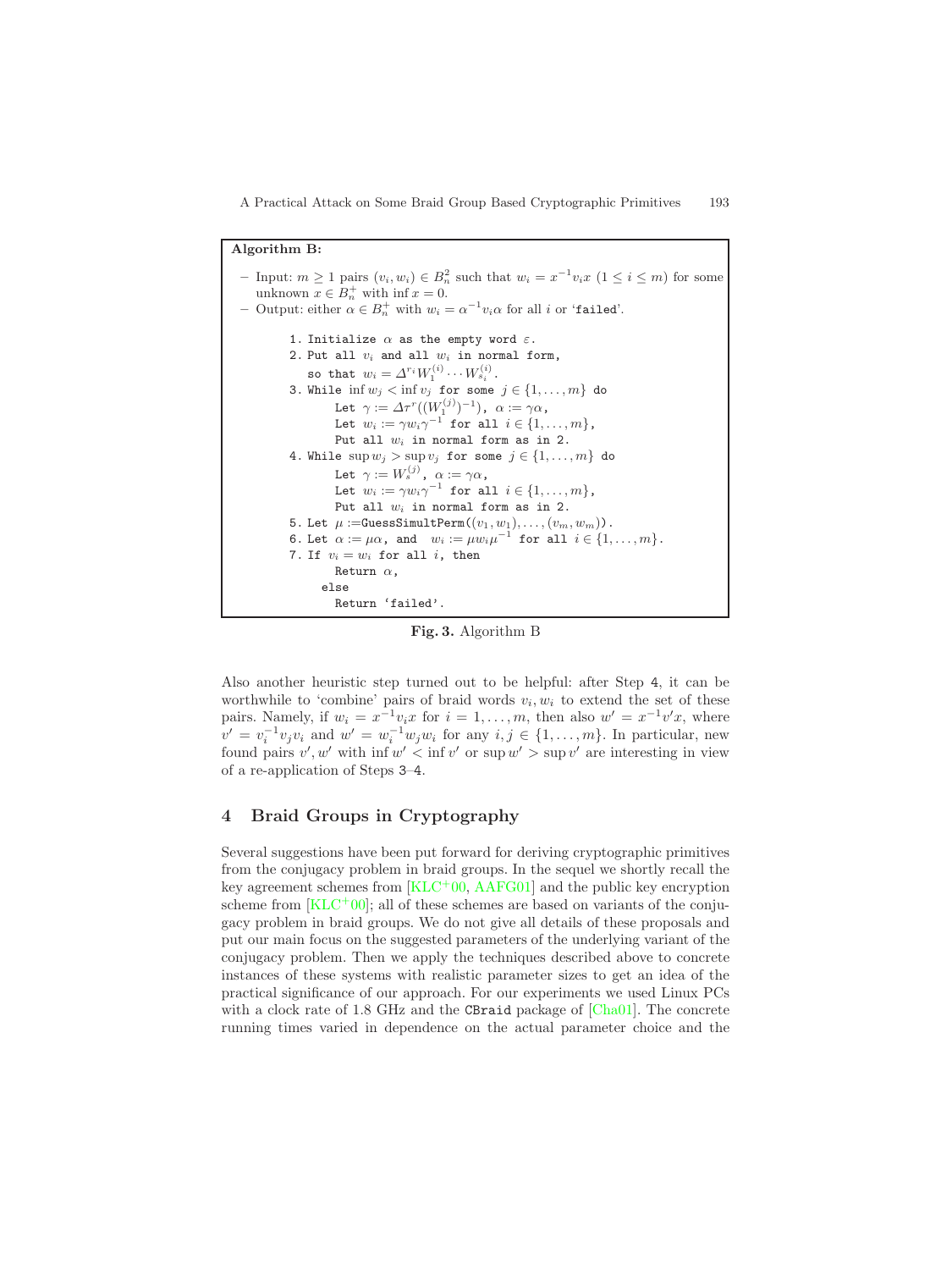<span id="page-6-0"></span>A Practical Attack on Some Braid Group Based Cryptographic Primitives 193

```
Algorithm B:
  – Input: m \ge 1 pairs (v_i, w_i) \in B_n^2 such that w_i = x^{-1}v_ix (1 \le i \le m) for some
     unknown x \in B_n^+ with inf x = 0.
  – Output: either \alpha \in B_n^+ with w_i = \alpha^{-1} v_i \alpha for all i or 'failed'.
            1. Initialize \alpha as the empty word \varepsilon.
            2. Put all v_i and all w_i in normal form,
                so that w_i = \varDelta^{r_i} W_1^{(i)} \cdots W_{s_i}^{(i)}.
            3. While \inf w_j < \inf v_j for some j \in \{1, \ldots, m\} do
                      Let \gamma:=\varDelta\tau^r((W_1^{(j)})^{-1}), \alpha:=\gamma\alpha,
                      Let w_i := \gamma w_i \gamma^{-1} for all i \in \{1, \ldots, m\},
                     Put all w_i in normal form as in 2.
            4. While \sup w_j > \sup v_j for some j \in \{1, ..., m\} do
                      Let \gamma:=W^{(j)}_s, \alpha:=\gamma\alpha,
                      Let w_i := \gamma w_i \gamma^{-1} for all i \in \{1, \ldots, m\},
                     Put all w_i in normal form as in 2.
            5. Let \mu := \text{GuessSimultPerm}((v_1, w_1), \ldots, (v_m, w_m)).
            6. Let \alpha := \mu \alpha, and w_i := \mu w_i \mu^{-1} for all i \in \{1, \ldots, m\}.7. If v_i = w_i for all i, then
                     Return \alpha,
                   else
                     Return 'failed'.
```
**Fig. 3.** Algorithm B

Also another heuristic step turned out to be helpful: after Step 4, it can be worthwhile to 'combine' pairs of braid words  $v_i, w_i$  to extend the set of these pairs. Namely, if  $w_i = x^{-1}v_ix$  for  $i = 1, ..., m$ , then also  $w' = x^{-1}v'x$ , where  $v' = v_i^{-1}v_jv_i$  and  $w' = w_i^{-1}w_jw_i$  for any  $i, j \in \{1, ..., m\}$ . In particular, new found pairs  $v', w'$  with  $\inf w' < \inf v'$  or  $\sup w' > \sup v'$  are interesting in view of a re-application of Steps 3–4.

# **4 Braid Groups in Cryptography**

Several suggestions have been put forward for deriving cryptographic primitives from the conjugacy problem in braid groups. In the sequel we shortly recall the key agreement schemes from  $[KLC^{+}00, AAFG01]$  $[KLC^{+}00, AAFG01]$  $[KLC^{+}00, AAFG01]$  and the public key encryption scheme from  $[KLC^+00]$  $[KLC^+00]$ ; all of these schemes are based on variants of the conjugacy problem in braid groups. We do not give all details of these proposals and put our main focus on the suggested parameters of the underlying variant of the conjugacy problem. Then we apply the techniques described above to concrete instances of these systems with realistic parameter sizes to get an idea of the practical significance of our approach. For our experiments we used Linux PCs with a clock rate of 1.8 GHz and the CBraid package of  $[Cha01]$ . The concrete running times varied in dependence on the actual parameter choice and the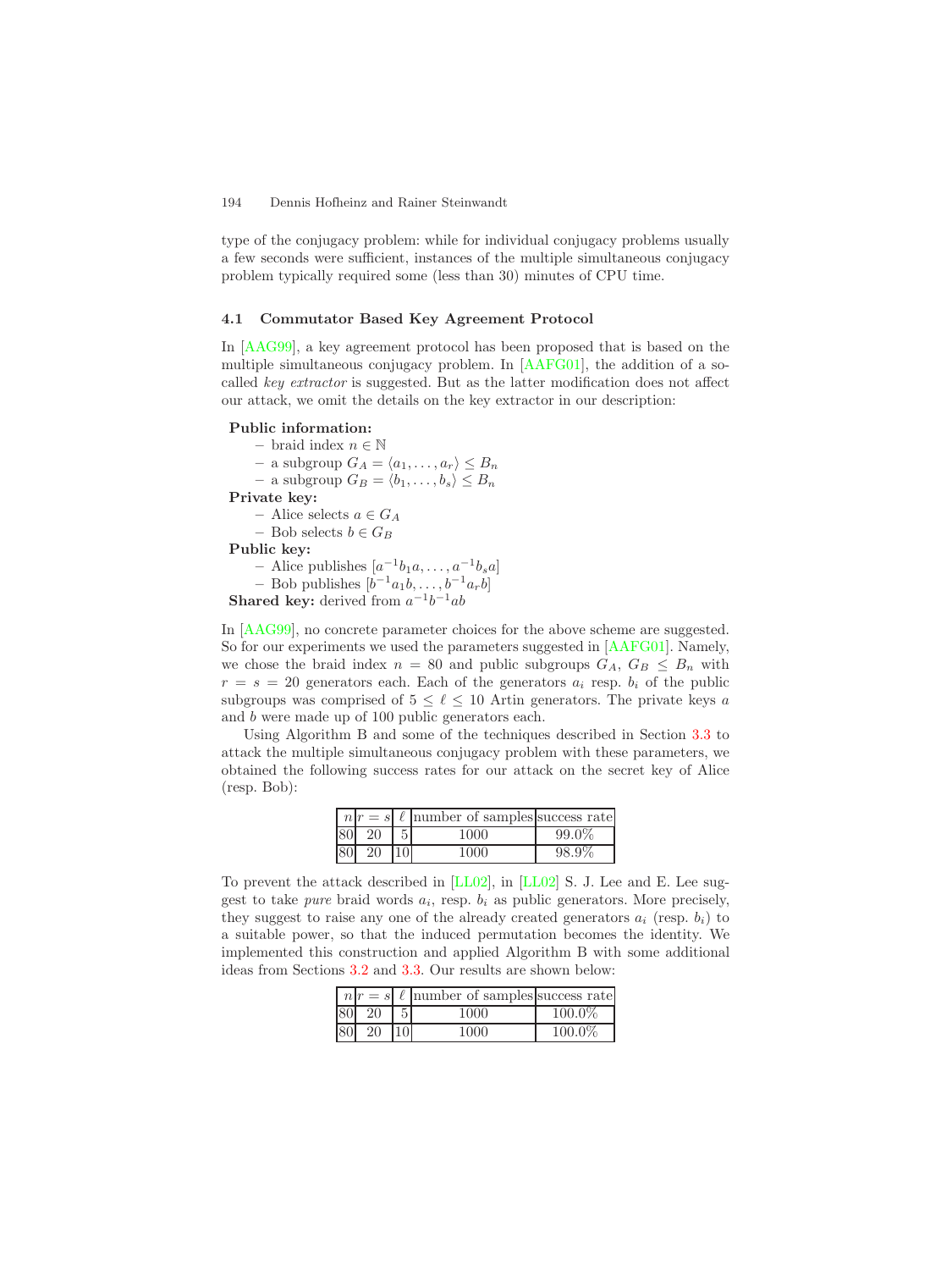<span id="page-7-0"></span>type of the conjugacy problem: while for individual conjugacy problems usually a few seconds were sufficient, instances of the multiple simultaneous conjugacy problem typically required some (less than 30) minutes of CPU time.

#### **4.1 Commutator Based Key Agreement Protocol**

In [\[AAG99\]](#page-10-1), a key agreement protocol has been proposed that is based on the multiple simultaneous conjugacy problem. In [\[AAFG01\]](#page-10-3), the addition of a socalled *key extractor* is suggested. But as the latter modification does not affect our attack, we omit the details on the key extractor in our description:

### **Public information:**

**–** braid index n ∈ N  $-$  a subgroup  $G_A = \langle a_1, \ldots, a_r \rangle \leq B_n$  $-$  a subgroup  $G_B = \langle b_1, \ldots, b_s \rangle \leq B_n$ **Private key: –** Alice selects a ∈ G<sup>A</sup> − Bob selects  $b \in G_B$ **Public key:** – Alice publishes  $[a^{-1}b_1a, \ldots, a^{-1}b_sa]$  $-$  Bob publishes  $[b^{-1}a_1b, \ldots, b^{-1}a_rb]$ 

**Shared key:** derived from  $a^{-1}b^{-1}ab$ 

In [\[AAG99\]](#page-10-1), no concrete parameter choices for the above scheme are suggested. So for our experiments we used the parameters suggested in [\[AAFG01\]](#page-10-3). Namely, we chose the braid index  $n = 80$  and public subgroups  $G_A, G_B \leq B_n$  with  $r = s = 20$  generators each. Each of the generators  $a_i$  resp.  $b_i$  of the public subgroups was comprised of  $5 \leq \ell \leq 10$  Artin generators. The private keys a and b were made up of 100 public generators each.

Using Algorithm B and some of the techniques described in Section [3.3](#page-5-0) to attack the multiple simultaneous conjugacy problem with these parameters, we obtained the following success rates for our attack on the secret key of Alice (resp. Bob):

| n r |              | $s = s \ell$ number of samples success rate |       |
|-----|--------------|---------------------------------------------|-------|
| 80  | 20           | 1000                                        | 99.0% |
| 80  | $20^{\circ}$ | 1000                                        | 98.9% |

To prevent the attack described in [\[LL02\]](#page-11-2), in [\[LL02\]](#page-11-2) S. J. Lee and E. Lee suggest to take *pure* braid words  $a_i$ , resp.  $b_i$  as public generators. More precisely, they suggest to raise any one of the already created generators  $a_i$  (resp.  $b_i$ ) to a suitable power, so that the induced permutation becomes the identity. We implemented this construction and applied Algorithm B with some additional ideas from Sections [3.2](#page-4-0) and [3.3.](#page-5-0) Our results are shown below:

|                 |    |   | $n r = s  \ell$ number of samples success rate |           |
|-----------------|----|---|------------------------------------------------|-----------|
| 80 <sup>1</sup> | 20 | 5 | 1000                                           | $100.0\%$ |
|                 | 20 |   | 1000                                           | 100.0%    |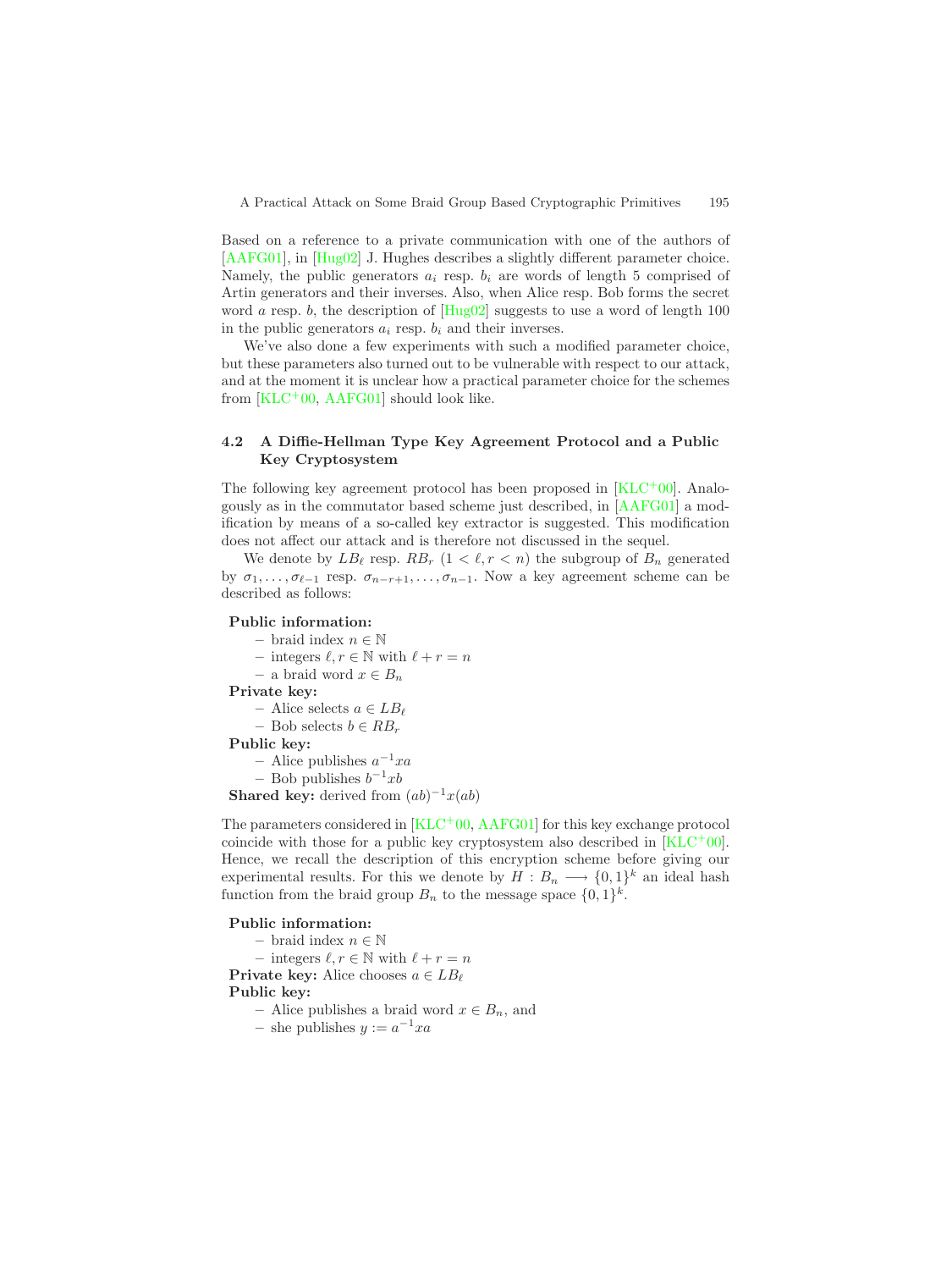<span id="page-8-0"></span>Based on a reference to a private communication with one of the authors of [\[AAFG01\]](#page-10-3), in [\[Hug02\]](#page-10-6) J. Hughes describes a slightly different parameter choice. Namely, the public generators  $a_i$  resp.  $b_i$  are words of length 5 comprised of Artin generators and their inverses. Also, when Alice resp. Bob forms the secret word a resp. b, the description of  $[Hug02]$  suggests to use a word of length 100 in the public generators  $a_i$  resp.  $b_i$  and their inverses.

We've also done a few experiments with such a modified parameter choice, but these parameters also turned out to be vulnerable with respect to our attack, and at the moment it is unclear how a practical parameter choice for the schemes from  $[KLC^+00, AAFG01]$  $[KLC^+00, AAFG01]$  $[KLC^+00, AAFG01]$  should look like.

### **4.2 A Diffie-Hellman Type Key Agreement Protocol and a Public Key Cryptosystem**

The following key agreement protocol has been proposed in [\[KLC](#page-10-2)+00]. Analogously as in the commutator based scheme just described, in [\[AAFG01\]](#page-10-3) a modification by means of a so-called key extractor is suggested. This modification does not affect our attack and is therefore not discussed in the sequel.

We denote by  $LB_{\ell}$  resp.  $RB_r$   $(1 < \ell, r < n)$  the subgroup of  $B_n$  generated by  $\sigma_1, \ldots, \sigma_{\ell-1}$  resp.  $\sigma_{n-r+1}, \ldots, \sigma_{n-1}$ . Now a key agreement scheme can be described as follows:

### **Public information:**

**–** braid index n ∈ N – integers  $\ell, r \in \mathbb{N}$  with  $\ell + r = n$ 

**–** a braid word x ∈ B<sup>n</sup>

**Private key:**

**–** Alice selects a ∈ LB

**–** Bob selects b ∈ RB<sup>r</sup>

**Public key:**

**–** Alice publishes a−1xa

− Bob publishes  $b^{-1}xb$ 

**Shared key:** derived from  $(ab)^{-1}x(ab)$ 

The parameters considered in [\[KLC](#page-10-2)+00, [AAFG01\]](#page-10-3) for this key exchange protocol coincide with those for a public key cryptosystem also described in  $[KLC^+00]$  $[KLC^+00]$ . Hence, we recall the description of this encryption scheme before giving our experimental results. For this we denote by  $H : B_n \longrightarrow \{0,1\}^k$  an ideal hash function from the braid group  $B_n$  to the message space  $\{0,1\}^k$ .

#### **Public information:**

**–** braid index n ∈ N – integers  $\ell, r \in \mathbb{N}$  with  $\ell + r = n$ **Private key:** Alice chooses  $a \in LB_\ell$ **Public key:** − Alice publishes a braid word  $x \in B_n$ , and

– she publishes  $y := a^{-1}xa$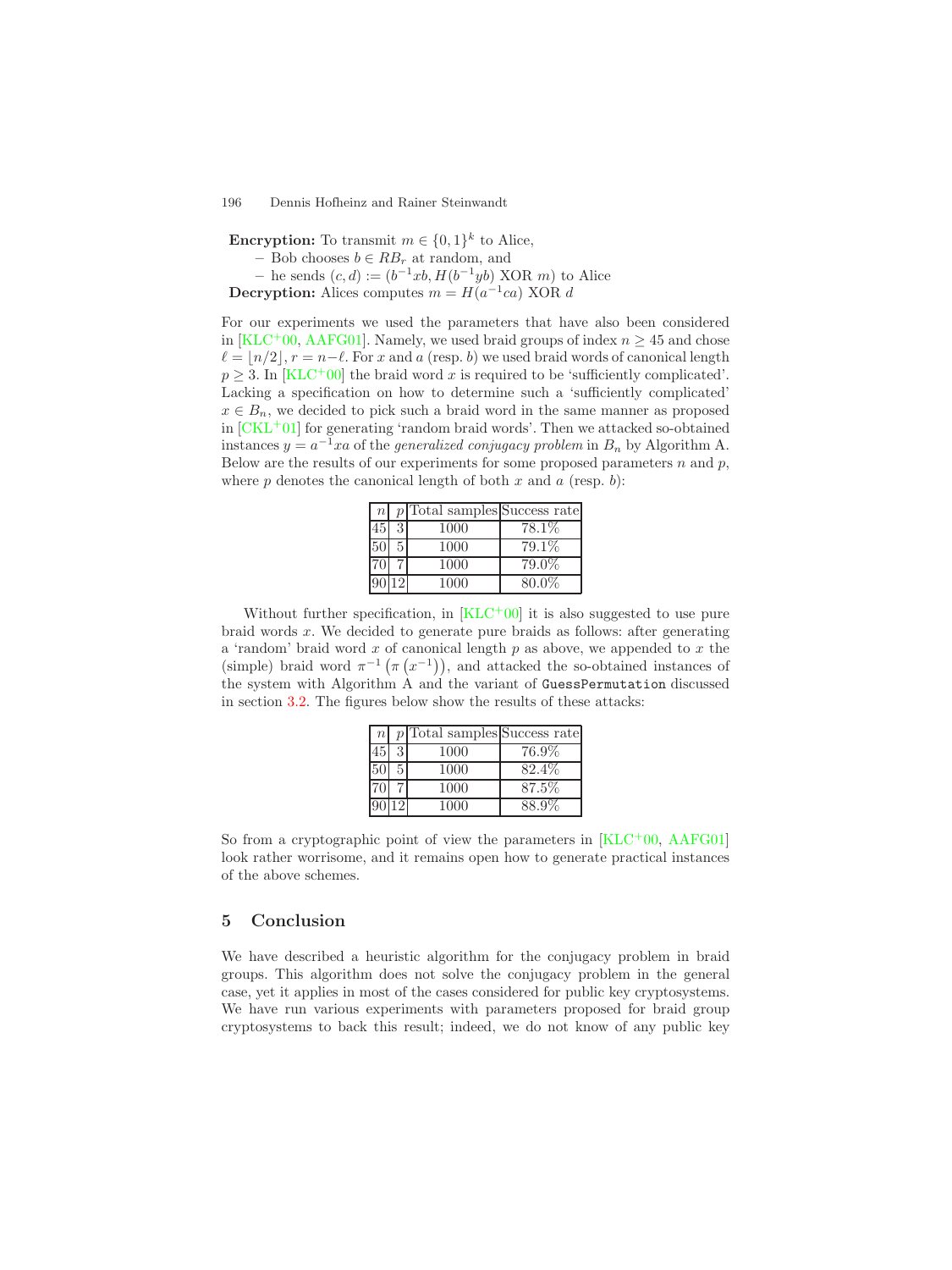<span id="page-9-0"></span>196 Dennis Hofheinz and Rainer Steinwandt

**Encryption:** To transmit  $m \in \{0, 1\}^k$  to Alice,

– Bob chooses  $b ∈ RB<sub>r</sub>$  at random, and

 $–$  he sends  $(c, d) := (b^{-1}xb, H(b^{-1}yb) \text{ XOR } m)$  to Alice

**Decryption:** Alices computes  $m = H(a^{-1}ca)$  XOR d

For our experiments we used the parameters that have also been considered in [\[KLC](#page-10-2)<sup>+</sup>00, [AAFG01\]](#page-10-3). Namely, we used braid groups of index  $n \geq 45$  and chose  $\ell = |n/2|, r = n-\ell$ . For x and a (resp. b) we used braid words of canonical length  $p \geq 3$ . In [\[KLC](#page-10-2)<sup>+</sup>00] the braid word x is required to be 'sufficiently complicated'. Lacking a specification on how to determine such a 'sufficiently complicated'  $x \in B_n$ , we decided to pick such a braid word in the same manner as proposed in  $[CKL+01]$  $[CKL+01]$  for generating 'random braid words'. Then we attacked so-obtained instances  $y = a^{-1}xa$  of the *generalized conjugacy problem* in  $B_n$  by Algorithm A. Below are the results of our experiments for some proposed parameters  $n$  and  $p$ , where  $p$  denotes the canonical length of both  $x$  and  $a$  (resp.  $b$ ):

| n  |   | $p$ <sup>T</sup> otal samples <sup></sup> Success rate |        |
|----|---|--------------------------------------------------------|--------|
| 45 | 3 | 1000                                                   | 78.1\% |
| 50 |   | 1000                                                   | 79.1\% |
|    |   | 1000                                                   | 79.0%  |
| 90 |   | 1000                                                   | 80.0%  |

Without further specification, in  $KLC^+00$  it is also suggested to use pure braid words  $x$ . We decided to generate pure braids as follows: after generating a 'random' braid word  $x$  of canonical length  $p$  as above, we appended to  $x$  the (simple) braid word  $\pi^{-1}(\pi(x^{-1}))$ , and attacked the so-obtained instances of the system with Algorithm A and the variant of GuessPermutation discussed in section [3.2.](#page-4-0) The figures below show the results of these attacks:

| $\boldsymbol{n}$ |    | $p$ <sup>T</sup> otal samples Success rate |        |
|------------------|----|--------------------------------------------|--------|
| 45               | 3  | 1000                                       | 76.9%  |
| $50\,$           | 5. | 1000                                       | 82.4\% |
|                  |    | 1000                                       | 87.5%  |
| 90               |    | 1000                                       | 88.9%  |

So from a cryptographic point of view the parameters in  $[KLC<sup>+</sup>00, AAFG01]$  $[KLC<sup>+</sup>00, AAFG01]$  $[KLC<sup>+</sup>00, AAFG01]$ look rather worrisome, and it remains open how to generate practical instances of the above schemes.

### **5 Conclusion**

We have described a heuristic algorithm for the conjugacy problem in braid groups. This algorithm does not solve the conjugacy problem in the general case, yet it applies in most of the cases considered for public key cryptosystems. We have run various experiments with parameters proposed for braid group cryptosystems to back this result; indeed, we do not know of any public key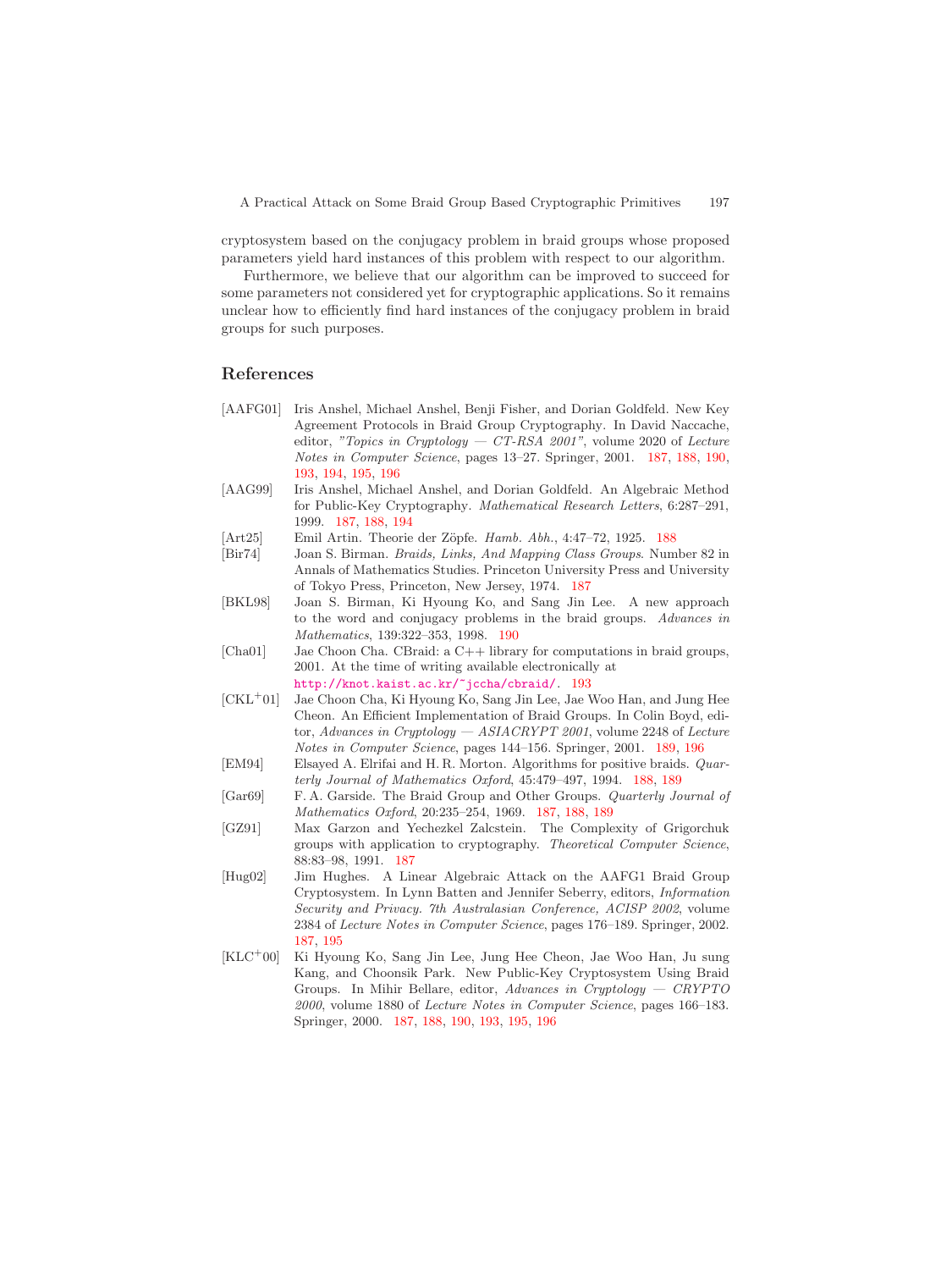cryptosystem based on the conjugacy problem in braid groups whose proposed parameters yield hard instances of this problem with respect to our algorithm.

Furthermore, we believe that our algorithm can be improved to succeed for some parameters not considered yet for cryptographic applications. So it remains unclear how to efficiently find hard instances of the conjugacy problem in braid groups for such purposes.

### <span id="page-10-3"></span>**References**

- <span id="page-10-1"></span>[AAFG01] Iris Anshel, Michael Anshel, Benji Fisher, and Dorian Goldfeld. New Key Agreement Protocols in Braid Group Cryptography. In David Naccache, editor, *"Topics in Cryptology — CT-RSA 2001"*, volume 2020 of *Lecture Notes in Computer Science*, pages 13–27. Springer, 2001. [187,](#page-0-0) [188,](#page-1-1) [190,](#page-3-0) [193,](#page-6-0) [194,](#page-7-0) [195,](#page-8-0) [196](#page-9-0)
- <span id="page-10-7"></span><span id="page-10-5"></span>[AAG99] Iris Anshel, Michael Anshel, and Dorian Goldfeld. An Algebraic Method for Public-Key Cryptography. *Mathematical Research Letters*, 6:287–291, 1999. [187,](#page-0-0) [188,](#page-1-1) [194](#page-7-0)
- [Art25] Emil Artin. Theorie der Z¨opfe. *Hamb. Abh.*, 4:47–72, 1925. [188](#page-1-1)
- <span id="page-10-10"></span>[Bir74] Joan S. Birman. *Braids, Links, And Mapping Class Groups*. Number 82 in Annals of Mathematics Studies. Princeton University Press and University of Tokyo Press, Princeton, New Jersey, 1974. [187](#page-0-0)
- <span id="page-10-11"></span>[BKL98] Joan S. Birman, Ki Hyoung Ko, and Sang Jin Lee. A new approach to the word and conjugacy problems in the braid groups. *Advances in Mathematics*, 139:322–353, 1998. [190](#page-3-0)
- <span id="page-10-9"></span>[Cha01] Jae Choon Cha. CBraid: a C++ library for computations in braid groups, 2001. At the time of writing available electronically at

<http://knot.kaist.ac.kr/~jccha/cbraid/>. [193](#page-6-0)

- <span id="page-10-8"></span>[CKL<sup>+</sup>01] Jae Choon Cha, Ki Hyoung Ko, Sang Jin Lee, Jae Woo Han, and Jung Hee Cheon. An Efficient Implementation of Braid Groups. In Colin Boyd, editor, *Advances in Cryptology — ASIACRYPT 2001*, volume 2248 of *Lecture Notes in Computer Science*, pages 144–156. Springer, 2001. [189,](#page-2-1) [196](#page-9-0)
- <span id="page-10-4"></span><span id="page-10-0"></span>[EM94] Elsayed A. Elrifai and H. R. Morton. Algorithms for positive braids. *Quarterly Journal of Mathematics Oxford*, 45:479–497, 1994. [188,](#page-1-1) [189](#page-2-1)
- [Gar69] F. A. Garside. The Braid Group and Other Groups. *Quarterly Journal of Mathematics Oxford*, 20:235–254, 1969. [187,](#page-0-0) [188,](#page-1-1) [189](#page-2-1)
- <span id="page-10-6"></span>[GZ91] Max Garzon and Yechezkel Zalcstein. The Complexity of Grigorchuk groups with application to cryptography. *Theoretical Computer Science*, 88:83–98, 1991. [187](#page-0-0)
- <span id="page-10-2"></span>[Hug02] Jim Hughes. A Linear Algebraic Attack on the AAFG1 Braid Group Cryptosystem. In Lynn Batten and Jennifer Seberry, editors, *Information Security and Privacy. 7th Australasian Conference, ACISP 2002*, volume 2384 of *Lecture Notes in Computer Science*, pages 176–189. Springer, 2002. [187,](#page-0-0) [195](#page-8-0)
- [KLC<sup>+</sup>00] Ki Hyoung Ko, Sang Jin Lee, Jung Hee Cheon, Jae Woo Han, Ju sung Kang, and Choonsik Park. New Public-Key Cryptosystem Using Braid Groups. In Mihir Bellare, editor, *Advances in Cryptology — CRYPTO 2000*, volume 1880 of *Lecture Notes in Computer Science*, pages 166–183. Springer, 2000. [187,](#page-0-0) [188,](#page-1-1) [190,](#page-3-0) [193,](#page-6-0) [195,](#page-8-0) [196](#page-9-0)